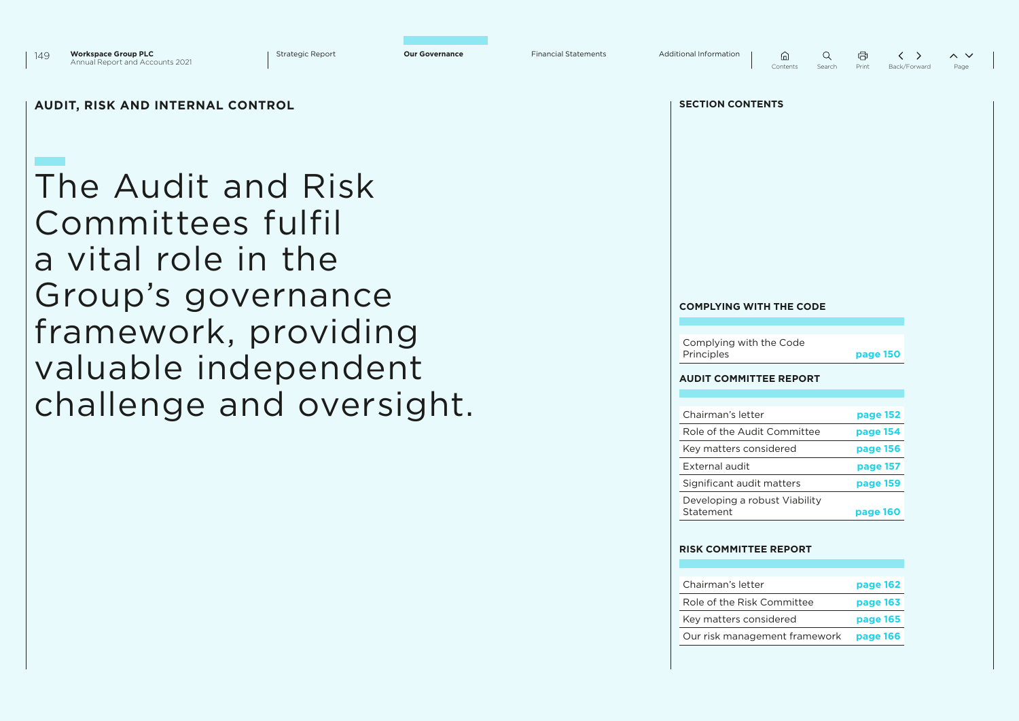

 $\widehat{m}$  $\Omega$ 

量  $\langle \rangle$  $\sim$   $\vee$ Contents Search Print Back/Forward Page

### **AUDIT, RISK AND INTERNAL CONTROL SECTION CONTENTS**

The Audit and Risk Committees fulfil a vital role in the Group's governance framework, providing valuable independent challenge and oversight.

#### **COMPLYING WITH THE CODE**

Complying with the Code Principles **page 150**

#### **AUDIT COMMITTEE REPORT**

| Chairman's letter                          | page 152 |
|--------------------------------------------|----------|
| Role of the Audit Committee                | page 154 |
| Key matters considered                     | page 156 |
| External audit                             | page 157 |
| Significant audit matters                  | page 159 |
| Developing a robust Viability<br>Statement | page 160 |

#### **RISK COMMITTEE REPORT**

| Chairman's letter             | page 162 |
|-------------------------------|----------|
| Role of the Risk Committee    | page 163 |
| Key matters considered        | page 165 |
| Our risk management framework | page 166 |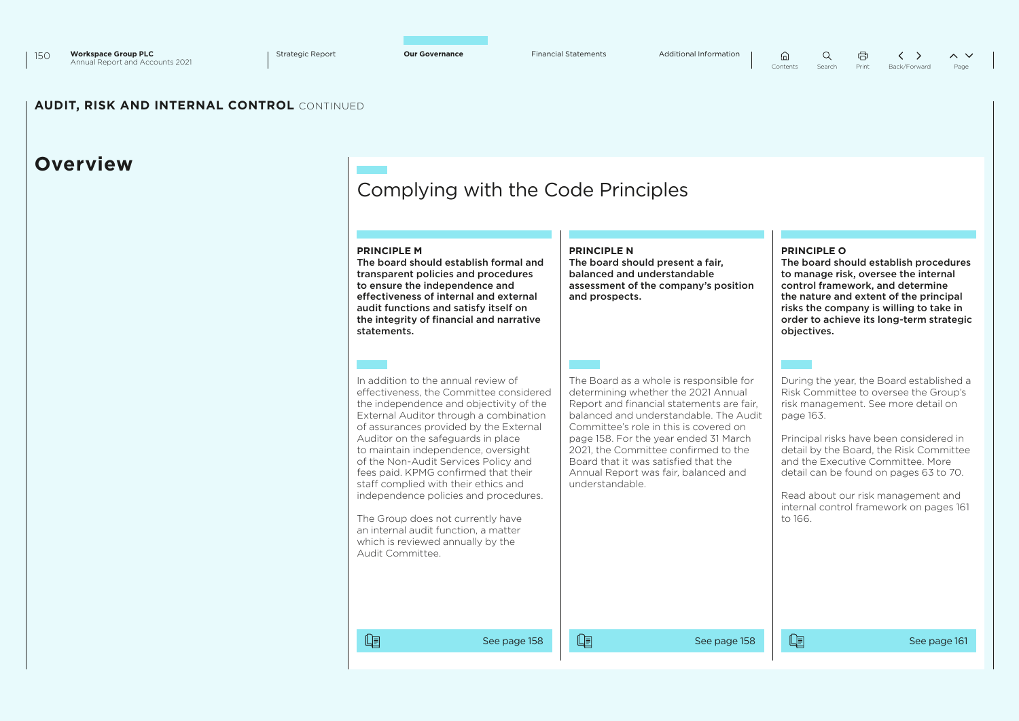$\oplus$ 

### **AUDIT, RISK AND INTERNAL CONTROL** CONTINUED

# **Overview**

# Complying with the Code Principles

| In addition to the annual review of<br>The Board as a whole is responsible for<br>effectiveness, the Committee considered<br>determining whether the 2021 Annual<br>the independence and objectivity of the<br>Report and financial statements are fair,<br>risk management. See more detail on<br>External Auditor through a combination<br>balanced and understandable. The Audit<br>page 163.<br>of assurances provided by the External<br>Committee's role in this is covered on<br>Auditor on the safeguards in place<br>page 158. For the year ended 31 March<br>Principal risks have been considered in<br>to maintain independence, oversight<br>2021, the Committee confirmed to the<br>of the Non-Audit Services Policy and<br>Board that it was satisfied that the<br>and the Executive Committee. More<br>fees paid. KPMG confirmed that their<br>detail can be found on pages 63 to 70.<br>Annual Report was fair, balanced and<br>staff complied with their ethics and<br>understandable.<br>independence policies and procedures.<br>Read about our risk management and<br>The Group does not currently have<br>to 166.<br>an internal audit function, a matter<br>which is reviewed annually by the<br>Audit Committee. | <b>PRINCIPLE M</b><br>The board should establish formal and<br>transparent policies and procedures<br>to ensure the independence and<br>effectiveness of internal and external<br>audit functions and satisfy itself on<br>the integrity of financial and narrative<br>statements. | <b>PRINCIPLE N</b><br>The board should present a fair,<br>balanced and understandable<br>assessment of the company's position<br>and prospects. | <b>PRINCIPLE O</b><br>The board should establish procedures<br>to manage risk, oversee the internal<br>control framework, and determine<br>the nature and extent of the principal<br>risks the company is willing to take in<br>order to achieve its long-term strategic<br>objectives. |
|-----------------------------------------------------------------------------------------------------------------------------------------------------------------------------------------------------------------------------------------------------------------------------------------------------------------------------------------------------------------------------------------------------------------------------------------------------------------------------------------------------------------------------------------------------------------------------------------------------------------------------------------------------------------------------------------------------------------------------------------------------------------------------------------------------------------------------------------------------------------------------------------------------------------------------------------------------------------------------------------------------------------------------------------------------------------------------------------------------------------------------------------------------------------------------------------------------------------------------------------|------------------------------------------------------------------------------------------------------------------------------------------------------------------------------------------------------------------------------------------------------------------------------------|-------------------------------------------------------------------------------------------------------------------------------------------------|-----------------------------------------------------------------------------------------------------------------------------------------------------------------------------------------------------------------------------------------------------------------------------------------|
|                                                                                                                                                                                                                                                                                                                                                                                                                                                                                                                                                                                                                                                                                                                                                                                                                                                                                                                                                                                                                                                                                                                                                                                                                                         |                                                                                                                                                                                                                                                                                    |                                                                                                                                                 | During the year, the Board established a<br>Risk Committee to oversee the Group's<br>detail by the Board, the Risk Committee<br>internal control framework on pages 161                                                                                                                 |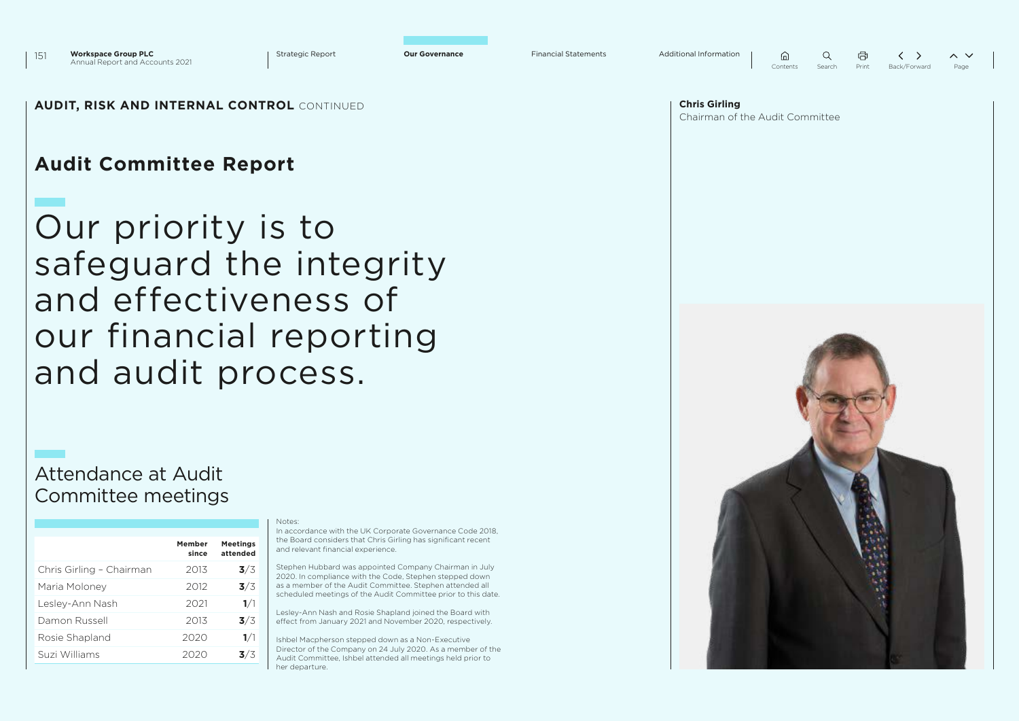| 山        |        | A     |              | $\sim$ |
|----------|--------|-------|--------------|--------|
| Contents | Search | Print | Back/Forward | Page   |

### **AUDIT, RISK AND INTERNAL CONTROL** CONTINUED **Chris Girling**

# **Audit Committee Report**

Our priority is to safeguard the integrity and effectiveness of our financial reporting and audit process.

### Attendance at Audit Committee meetings

|                          | Member<br>since | <b>Meetings</b><br>attended |
|--------------------------|-----------------|-----------------------------|
| Chris Girling - Chairman | 2013            | 3/3                         |
| Maria Moloney            | 2012            | 3/3                         |
| Lesley-Ann Nash          | 2021            | 1/1                         |
| Damon Russell            | 2013            | 3/3                         |
| Rosie Shapland           | 2020            | 1/1                         |
| Suzi Williams            |                 | 3/3                         |

#### Notes:

In accordance with the UK Corporate Governance Code 2018, the Board considers that Chris Girling has significant recent and relevant financial experience.

Stephen Hubbard was appointed Company Chairman in July 2020. In compliance with the Code, Stephen stepped down as a member of the Audit Committee. Stephen attended all scheduled meetings of the Audit Committee prior to this date.

Lesley-Ann Nash and Rosie Shapland joined the Board with effect from January 2021 and November 2020, respectively.

Ishbel Macpherson stepped down as a Non-Executive Director of the Company on 24 July 2020. As a member of the Audit Committee, Ishbel attended all meetings held prior to her departure.

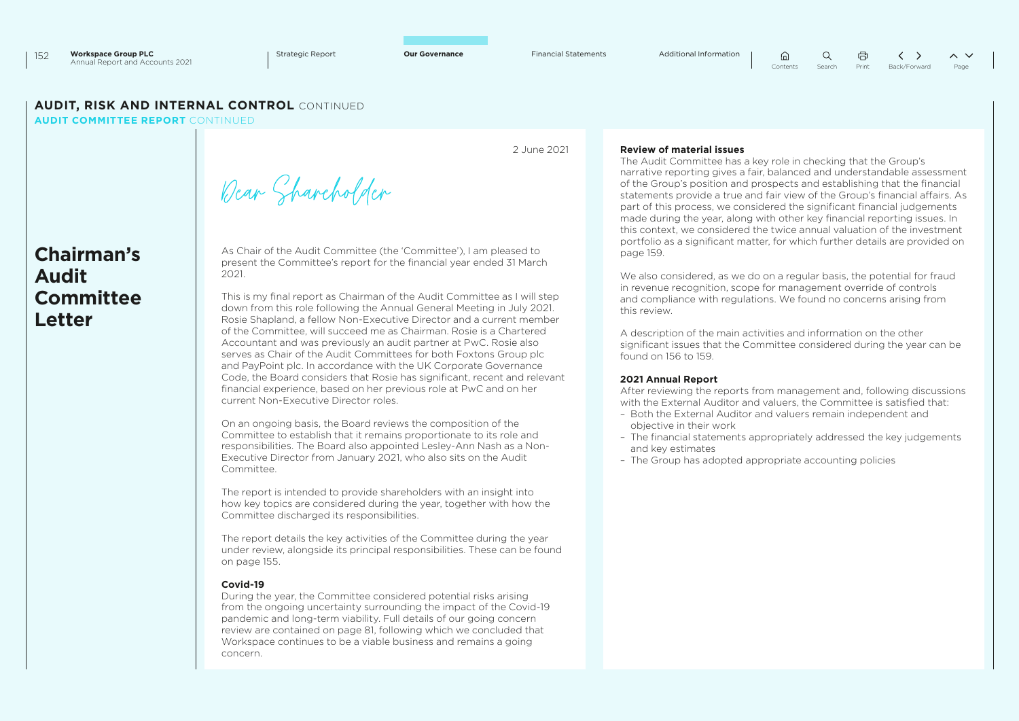Dear Shareholder

 $\Omega$  $\langle \rangle$  $\sim$   $\vee$ Contents Search Print Back/Forward Page

### **AUDIT, RISK AND INTERNAL CONTROL** CONTINUED

**AUDIT COMMITTEE REPORT** CONTINUED

**Chairman's Audit Committee Letter**

2 June 2021

### **Review of material issues**

The Audit Committee has a key role in checking that the Group's narrative reporting gives a fair, balanced and understandable assessment of the Group's position and prospects and establishing that the financial statements provide a true and fair view of the Group's financial affairs. As part of this process, we considered the significant financial judgements made during the year, along with other key financial reporting issues. In this context, we considered the twice annual valuation of the investment portfolio as a significant matter, for which further details are provided on page 159.

 $\hat{a}$ 

We also considered, as we do on a regular basis, the potential for fraud in revenue recognition, scope for management override of controls and compliance with regulations. We found no concerns arising from this review.

A description of the main activities and information on the other significant issues that the Committee considered during the year can be found on 156 to 159.

#### **2021 Annual Report**

After reviewing the reports from management and, following discussions with the External Auditor and valuers, the Committee is satisfied that:

- Both the External Auditor and valuers remain independent and objective in their work
- The financial statements appropriately addressed the key judgements and key estimates
- The Group has adopted appropriate accounting policies

As Chair of the Audit Committee (the 'Committee'), I am pleased to present the Committee's report for the financial year ended 31 March 2021. This is my final report as Chairman of the Audit Committee as I will step

down from this role following the Annual General Meeting in July 2021. Rosie Shapland, a fellow Non-Executive Director and a current member of the Committee, will succeed me as Chairman. Rosie is a Chartered Accountant and was previously an audit partner at PwC. Rosie also serves as Chair of the Audit Committees for both Foxtons Group plc and PayPoint plc. In accordance with the UK Corporate Governance Code, the Board considers that Rosie has significant, recent and relevant financial experience, based on her previous role at PwC and on her current Non-Executive Director roles.

On an ongoing basis, the Board reviews the composition of the Committee to establish that it remains proportionate to its role and responsibilities. The Board also appointed Lesley-Ann Nash as a Non-Executive Director from January 2021, who also sits on the Audit Committee.

The report is intended to provide shareholders with an insight into how key topics are considered during the year, together with how the Committee discharged its responsibilities.

The report details the key activities of the Committee during the year under review, alongside its principal responsibilities. These can be found on page 155.

#### **Covid-19**

During the year, the Committee considered potential risks arising from the ongoing uncertainty surrounding the impact of the Covid-19 pandemic and long-term viability. Full details of our going concern review are contained on page 81, following which we concluded that Workspace continues to be a viable business and remains a going concern.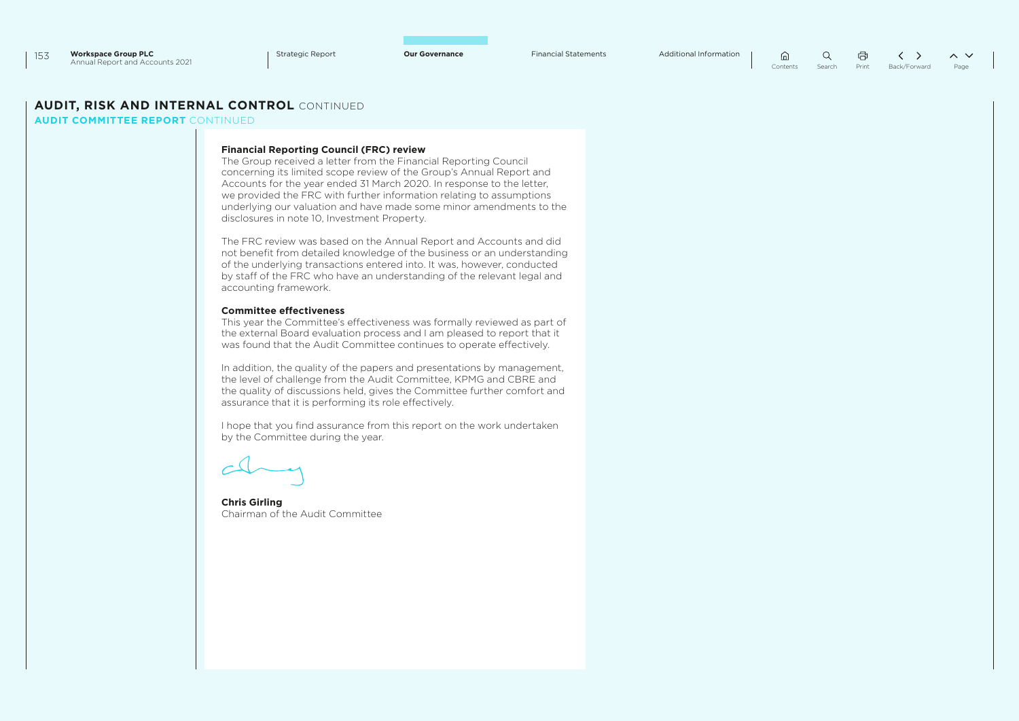$\alpha$ 量 Contents Search Print Back/Forward Page

### **AUDIT, RISK AND INTERNAL CONTROL** CONTINUED

**AUDIT COMMITTEE REPORT** CONTINUED

#### **Financial Reporting Council (FRC) review**

The Group received a letter from the Financial Reporting Council concerning its limited scope review of the Group's Annual Report and Accounts for the year ended 31 March 2020. In response to the letter, we provided the FRC with further information relating to assumptions underlying our valuation and have made some minor amendments to the disclosures in note 10, Investment Property.

The FRC review was based on the Annual Report and Accounts and did not benefit from detailed knowledge of the business or an understanding of the underlying transactions entered into. It was, however, conducted by staff of the FRC who have an understanding of the relevant legal and accounting framework.

#### **Committee effectiveness**

This year the Committee's effectiveness was formally reviewed as part of the external Board evaluation process and I am pleased to report that it was found that the Audit Committee continues to operate effectively.

In addition, the quality of the papers and presentations by management, the level of challenge from the Audit Committee, KPMG and CBRE and the quality of discussions held, gives the Committee further comfort and assurance that it is performing its role effectively.

I hope that you find assurance from this report on the work undertaken by the Committee during the year.

**Chris Girling** Chairman of the Audit Committee

 $\hat{h}$ 

 $\langle \rangle$  $\sim$   $\vee$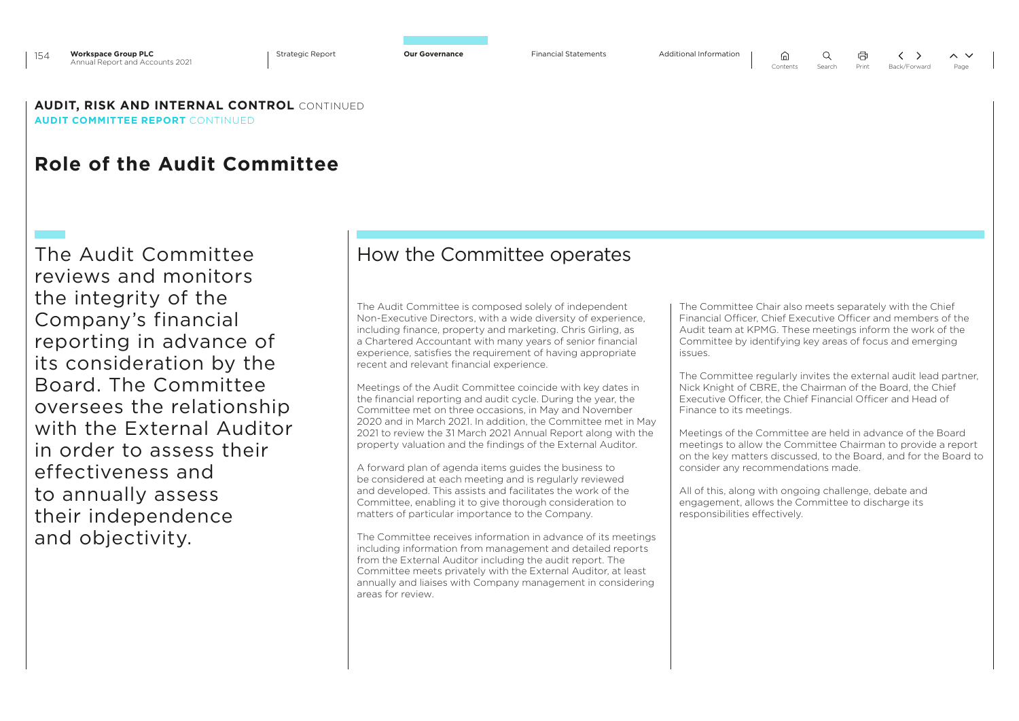$\bigcap$ 

**AUDIT, RISK AND INTERNAL CONTROL** CONTINUED **AUDIT COMMITTEE REPORT** CONTINUED

# **Role of the Audit Committee**

The Audit Committee reviews and monitors the integrity of the Company's financial reporting in advance of its consideration by the Board. The Committee oversees the relationship with the External Auditor in order to assess their effectiveness and to annually assess their independence and objectivity.

### How the Committee operates

The Audit Committee is composed solely of independent Non-Executive Directors, with a wide diversity of experience, including finance, property and marketing. Chris Girling, as a Chartered Accountant with many years of senior financial experience, satisfies the requirement of having appropriate recent and relevant financial experience.

Meetings of the Audit Committee coincide with key dates in the financial reporting and audit cycle. During the year, the Committee met on three occasions, in May and November 2020 and in March 2021. In addition, the Committee met in May 2021 to review the 31 March 2021 Annual Report along with the property valuation and the findings of the External Auditor.

A forward plan of agenda items guides the business to be considered at each meeting and is regularly reviewed and developed. This assists and facilitates the work of the Committee, enabling it to give thorough consideration to matters of particular importance to the Company.

The Committee receives information in advance of its meetings including information from management and detailed reports from the External Auditor including the audit report. The Committee meets privately with the External Auditor, at least annually and liaises with Company management in considering areas for review.

The Committee Chair also meets separately with the Chief Financial Officer, Chief Executive Officer and members of the Audit team at KPMG. These meetings inform the work of the Committee by identifying key areas of focus and emerging issues.

The Committee regularly invites the external audit lead partner, Nick Knight of CBRE, the Chairman of the Board, the Chief Executive Officer, the Chief Financial Officer and Head of Finance to its meetings.

Meetings of the Committee are held in advance of the Board meetings to allow the Committee Chairman to provide a report on the key matters discussed, to the Board, and for the Board to consider any recommendations made.

All of this, along with ongoing challenge, debate and engagement, allows the Committee to discharge its responsibilities effectively.

 $\left\langle \quad \right\rangle$ 

 $\sim$   $\sim$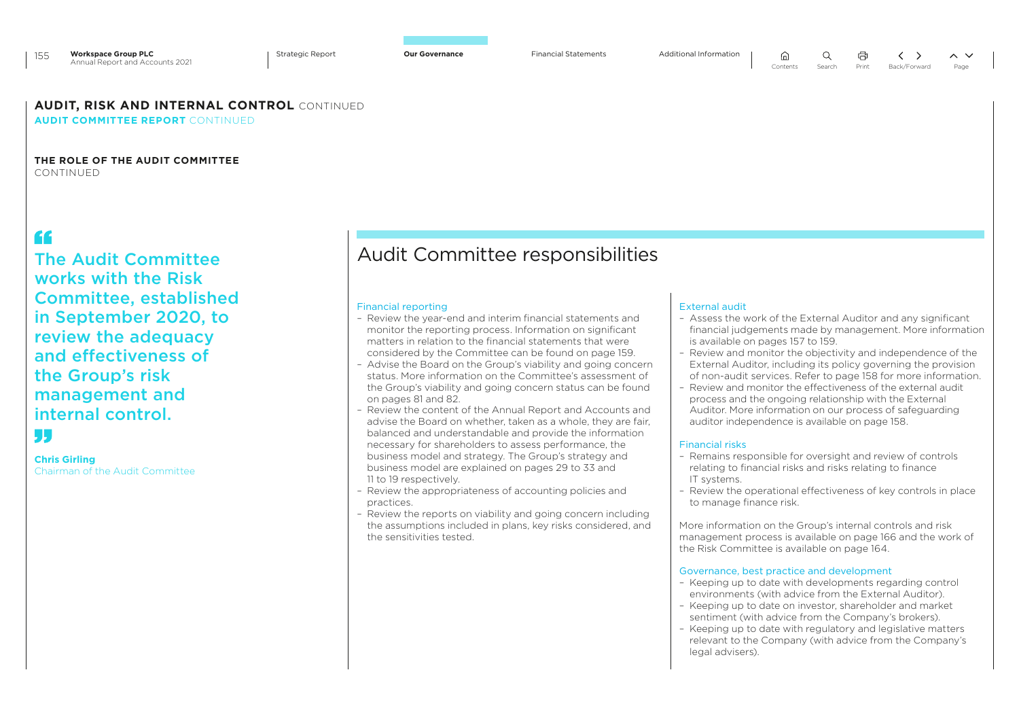### **AUDIT, RISK AND INTERNAL CONTROL** CONTINUED

### **AUDIT COMMITTEE REPORT** CONTINUED

#### **THE ROLE OF THE AUDIT COMMITTEE**  CONTINUED

# "

The Audit Committee works with the Risk Committee, established in September 2020, to review the adequacy and effectiveness of the Group's risk management and internal control.

# L L J

**Chris Girling** Chairman of the Audit Committee

# Audit Committee responsibilities

#### Financial reporting

- Review the year-end and interim financial statements and monitor the reporting process. Information on significant matters in relation to the financial statements that were considered by the Committee can be found on page 159.
- Advise the Board on the Group's viability and going concern status. More information on the Committee's assessment of the Group's viability and going concern status can be found on pages 81 and 82.
- Review the content of the Annual Report and Accounts and advise the Board on whether, taken as a whole, they are fair, balanced and understandable and provide the information necessary for shareholders to assess performance, the business model and strategy. The Group's strategy and business model are explained on pages 29 to 33 and 11 to 19 respectively.
- Review the appropriateness of accounting policies and practices.
- Review the reports on viability and going concern including the assumptions included in plans, key risks considered, and the sensitivities tested.

#### External audit

- Assess the work of the External Auditor and any significant financial judgements made by management. More information is available on pages 157 to 159.
- Review and monitor the objectivity and independence of the External Auditor, including its policy governing the provision of non-audit services. Refer to page 158 for more information.
- Review and monitor the effectiveness of the external audit process and the ongoing relationship with the External Auditor. More information on our process of safeguarding auditor independence is available on page 158.

#### Financial risks

- Remains responsible for oversight and review of controls relating to financial risks and risks relating to finance IT systems.
- Review the operational effectiveness of key controls in place to manage finance risk.

More information on the Group's internal controls and risk management process is available on page 166 and the work of the Risk Committee is available on page 164.

#### Governance, best practice and development

- Keeping up to date with developments regarding control environments (with advice from the External Auditor).
- Keeping up to date on investor, shareholder and market sentiment (with advice from the Company's brokers).
- Keeping up to date with regulatory and legislative matters relevant to the Company (with advice from the Company's legal advisers).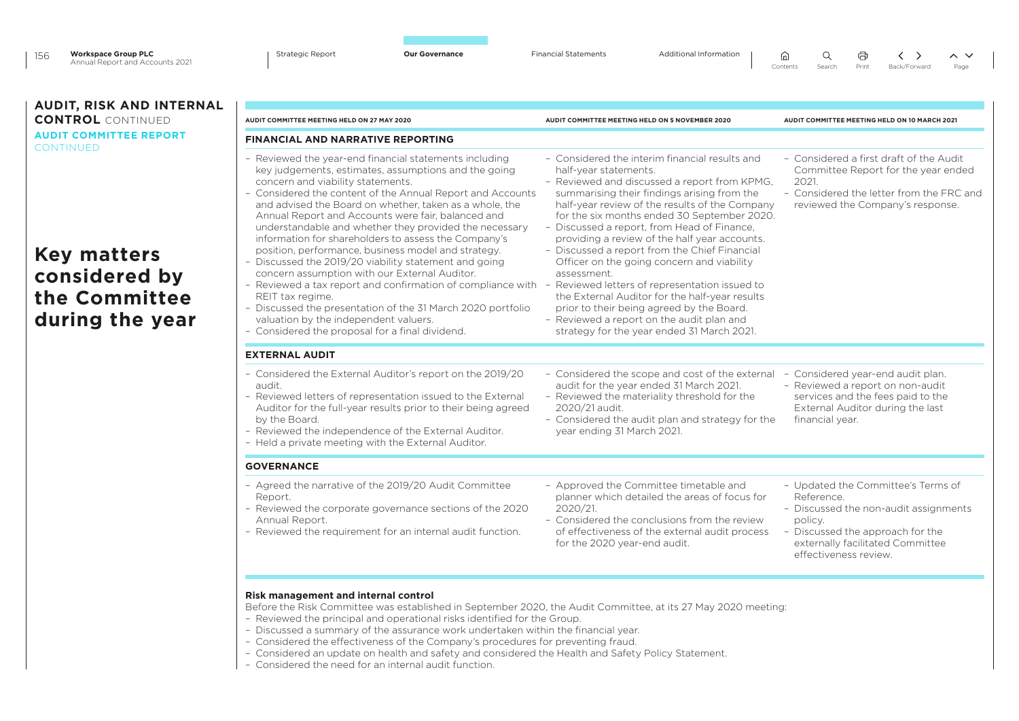| 156 | <b>Workspace Group PLC</b>      | Strategic Report | <b>Our Governance</b> | Financial Statements | Additional Information | しんこうしょう ローバー ローバー しゅうしゃ しゅうしゃ しゅうしゅうしょう |  |                                         | $\wedge$ $\vee$ |
|-----|---------------------------------|------------------|-----------------------|----------------------|------------------------|-----------------------------------------|--|-----------------------------------------|-----------------|
|     | Annual Report and Accounts 2021 |                  |                       |                      |                        |                                         |  | Contents Search Print Back/Forward Page |                 |

### **AUDIT, RISK AND INTERNAL CONTROL** CONTINUED **AUDIT COMMITTEE REPORT CONTINUED**

# **Key matters considered by the Committee during the year**

| AUDIT COMMITTEE MEETING HELD ON 27 MAY 2020                                                                                                                                                                                                                                                                                                                                                                                                                                                                                                                                                                                                                                                                                                                                                                                                                                                                        | AUDIT COMMITTEE MEETING HELD ON 5 NOVEMBER 2020                                                                                                                                                                                                                                                                                                                                                                                                                                                                                                                                                                                                                                 | AUDIT COMMITTEE MEETING HELD ON 10 MARCH 2021                                                                                                                                                         |
|--------------------------------------------------------------------------------------------------------------------------------------------------------------------------------------------------------------------------------------------------------------------------------------------------------------------------------------------------------------------------------------------------------------------------------------------------------------------------------------------------------------------------------------------------------------------------------------------------------------------------------------------------------------------------------------------------------------------------------------------------------------------------------------------------------------------------------------------------------------------------------------------------------------------|---------------------------------------------------------------------------------------------------------------------------------------------------------------------------------------------------------------------------------------------------------------------------------------------------------------------------------------------------------------------------------------------------------------------------------------------------------------------------------------------------------------------------------------------------------------------------------------------------------------------------------------------------------------------------------|-------------------------------------------------------------------------------------------------------------------------------------------------------------------------------------------------------|
| <b>FINANCIAL AND NARRATIVE REPORTING</b>                                                                                                                                                                                                                                                                                                                                                                                                                                                                                                                                                                                                                                                                                                                                                                                                                                                                           |                                                                                                                                                                                                                                                                                                                                                                                                                                                                                                                                                                                                                                                                                 |                                                                                                                                                                                                       |
| - Reviewed the year-end financial statements including<br>key judgements, estimates, assumptions and the going<br>concern and viability statements.<br>- Considered the content of the Annual Report and Accounts<br>and advised the Board on whether, taken as a whole, the<br>Annual Report and Accounts were fair, balanced and<br>understandable and whether they provided the necessary<br>information for shareholders to assess the Company's<br>position, performance, business model and strategy.<br>- Discussed the 2019/20 viability statement and going<br>concern assumption with our External Auditor.<br>- Reviewed a tax report and confirmation of compliance with - Reviewed letters of representation issued to<br>REIT tax regime.<br>- Discussed the presentation of the 31 March 2020 portfolio<br>valuation by the independent valuers.<br>- Considered the proposal for a final dividend. | - Considered the interim financial results and<br>half-year statements.<br>- Reviewed and discussed a report from KPMG.<br>summarising their findings arising from the<br>half-year review of the results of the Company<br>for the six months ended 30 September 2020.<br>- Discussed a report, from Head of Finance,<br>providing a review of the half year accounts.<br>- Discussed a report from the Chief Financial<br>Officer on the going concern and viability<br>assessment.<br>the External Auditor for the half-year results<br>prior to their being agreed by the Board.<br>- Reviewed a report on the audit plan and<br>strategy for the year ended 31 March 2021. | - Considered a first draft of the Audit<br>Committee Report for the year ended<br>2021.<br>- Considered the letter from the FRC and<br>reviewed the Company's response.                               |
| <b>EXTERNAL AUDIT</b>                                                                                                                                                                                                                                                                                                                                                                                                                                                                                                                                                                                                                                                                                                                                                                                                                                                                                              |                                                                                                                                                                                                                                                                                                                                                                                                                                                                                                                                                                                                                                                                                 |                                                                                                                                                                                                       |
| - Considered the External Auditor's report on the 2019/20<br>audit.<br>- Reviewed letters of representation issued to the External<br>Auditor for the full-year results prior to their being agreed<br>by the Board.<br>- Reviewed the independence of the External Auditor.<br>- Held a private meeting with the External Auditor.                                                                                                                                                                                                                                                                                                                                                                                                                                                                                                                                                                                | - Considered the scope and cost of the external<br>audit for the year ended 31 March 2021.<br>- Reviewed the materiality threshold for the<br>2020/21 audit.<br>- Considered the audit plan and strategy for the<br>year ending 31 March 2021.                                                                                                                                                                                                                                                                                                                                                                                                                                  | - Considered year-end audit plan.<br>- Reviewed a report on non-audit<br>services and the fees paid to the<br>External Auditor during the last<br>financial year.                                     |
| <b>GOVERNANCE</b>                                                                                                                                                                                                                                                                                                                                                                                                                                                                                                                                                                                                                                                                                                                                                                                                                                                                                                  |                                                                                                                                                                                                                                                                                                                                                                                                                                                                                                                                                                                                                                                                                 |                                                                                                                                                                                                       |
| - Agreed the narrative of the 2019/20 Audit Committee<br>Report.<br>- Reviewed the corporate governance sections of the 2020<br>Annual Report.<br>- Reviewed the requirement for an internal audit function.                                                                                                                                                                                                                                                                                                                                                                                                                                                                                                                                                                                                                                                                                                       | - Approved the Committee timetable and<br>planner which detailed the areas of focus for<br>2020/21.<br>- Considered the conclusions from the review<br>of effectiveness of the external audit process<br>for the 2020 year-end audit.                                                                                                                                                                                                                                                                                                                                                                                                                                           | - Updated the Committee's Terms of<br>Reference.<br>- Discussed the non-audit assignments<br>policy.<br>- Discussed the approach for the<br>externally facilitated Committee<br>effectiveness review. |

#### **Risk management and internal control**

Before the Risk Committee was established in September 2020, the Audit Committee, at its 27 May 2020 meeting:

- Reviewed the principal and operational risks identified for the Group.
- Discussed a summary of the assurance work undertaken within the financial year.
- Considered the effectiveness of the Company's procedures for preventing fraud.
- Considered an update on health and safety and considered the Health and Safety Policy Statement.
- Considered the need for an internal audit function.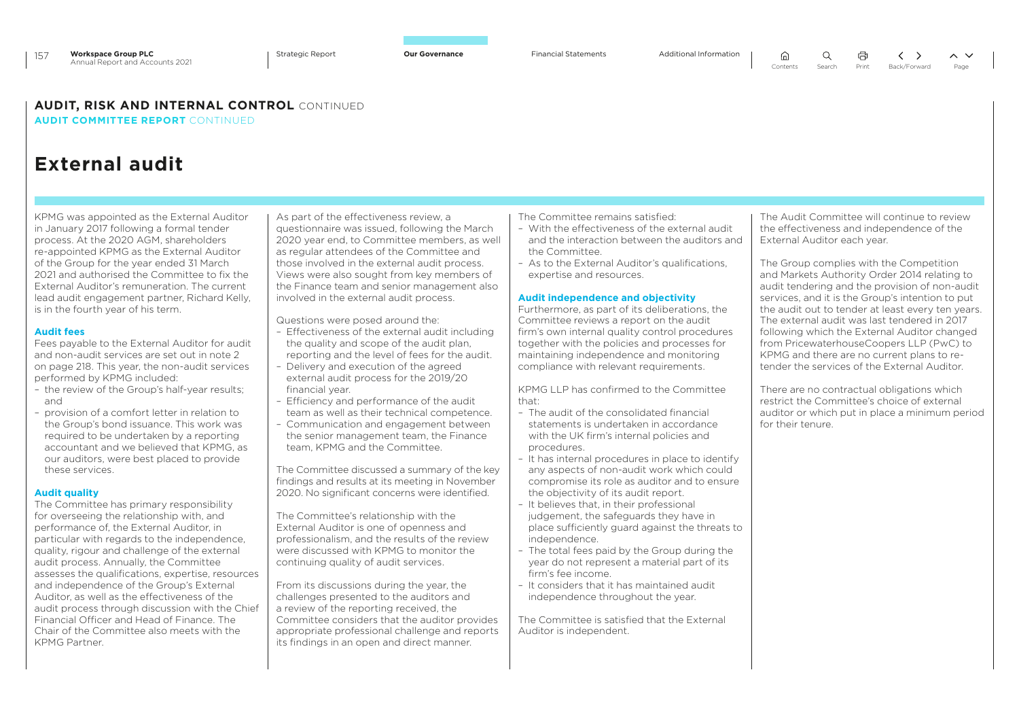### **AUDIT, RISK AND INTERNAL CONTROL** CONTINUED

**AUDIT COMMITTEE REPORT** CONTINUED

# **External audit**

KPMG was appointed as the External Auditor in January 2017 following a formal tender process. At the 2020 AGM, shareholders re-appointed KPMG as the External Auditor of the Group for the year ended 31 March 2021 and authorised the Committee to fix the External Auditor's remuneration. The current lead audit engagement partner, Richard Kelly, is in the fourth year of his term.

#### **Audit fees**

Fees payable to the External Auditor for audit and non-audit services are set out in note 2 on page 218. This year, the non-audit services performed by KPMG included:

- the review of the Group's half-year results; and
- provision of a comfort letter in relation to the Group's bond issuance. This work was required to be undertaken by a reporting accountant and we believed that KPMG, as our auditors, were best placed to provide these services.

#### **Audit quality**

The Committee has primary responsibility for overseeing the relationship with, and performance of, the External Auditor, in particular with regards to the independence, quality, rigour and challenge of the external audit process. Annually, the Committee assesses the qualifications, expertise, resources and independence of the Group's External Auditor, as well as the effectiveness of the audit process through discussion with the Chief Financial Officer and Head of Finance. The Chair of the Committee also meets with the KPMG Partner.

As part of the effectiveness review, a questionnaire was issued, following the March 2020 year end, to Committee members, as well as regular attendees of the Committee and those involved in the external audit process. Views were also sought from key members of the Finance team and senior management also involved in the external audit process.

Questions were posed around the:

- Effectiveness of the external audit including the quality and scope of the audit plan, reporting and the level of fees for the audit.
- Delivery and execution of the agreed external audit process for the 2019/20 financial year.
- Efficiency and performance of the audit team as well as their technical competence.
- Communication and engagement between the senior management team, the Finance team, KPMG and the Committee.

The Committee discussed a summary of the key findings and results at its meeting in November 2020. No significant concerns were identified.

The Committee's relationship with the External Auditor is one of openness and professionalism, and the results of the review were discussed with KPMG to monitor the continuing quality of audit services.

From its discussions during the year, the challenges presented to the auditors and a review of the reporting received, the Committee considers that the auditor provides appropriate professional challenge and reports its findings in an open and direct manner.

The Committee remains satisfied:

- With the effectiveness of the external audit and the interaction between the auditors and the Committee.
- As to the External Auditor's qualifications, expertise and resources.

#### **Audit independence and objectivity**

Furthermore, as part of its deliberations, the Committee reviews a report on the audit firm's own internal quality control procedures together with the policies and processes for maintaining independence and monitoring compliance with relevant requirements.

KPMG LLP has confirmed to the Committee that:

- The audit of the consolidated financial statements is undertaken in accordance with the UK firm's internal policies and procedures.
- It has internal procedures in place to identify any aspects of non-audit work which could compromise its role as auditor and to ensure the objectivity of its audit report.
- It believes that, in their professional judgement, the safeguards they have in place sufficiently guard against the threats to independence.
- The total fees paid by the Group during the year do not represent a material part of its firm's fee income.
- It considers that it has maintained audit independence throughout the year.

The Committee is satisfied that the External Auditor is independent.

The Audit Committee will continue to review the effectiveness and independence of the External Auditor each year.

The Group complies with the Competition and Markets Authority Order 2014 relating to audit tendering and the provision of non-audit services, and it is the Group's intention to put the audit out to tender at least every ten years. The external audit was last tendered in 2017 following which the External Auditor changed from PricewaterhouseCoopers LLP (PwC) to KPMG and there are no current plans to retender the services of the External Auditor.

There are no contractual obligations which restrict the Committee's choice of external auditor or which put in place a minimum period for their tenure.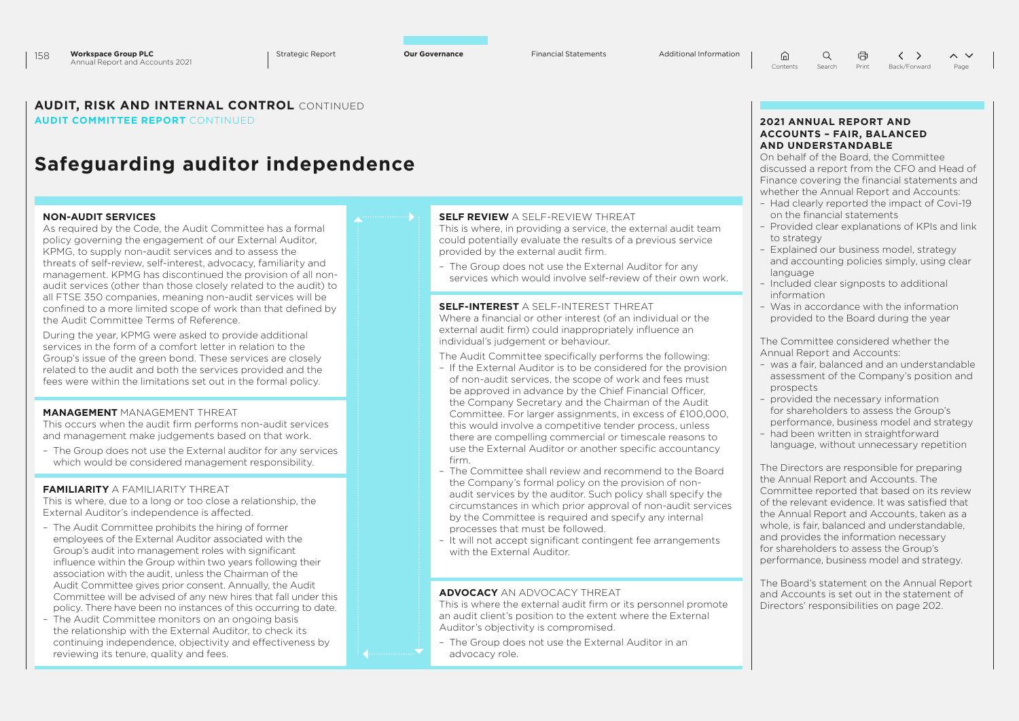#### **AUDIT, RISK AND INTERNAL CONTROL** CONTINUED **AUDIT COMMITTEE REPORT** CONTINUED

# **Safeguarding auditor independence**

#### **NON-AUDIT SERVICES**

As required by the Code, the Audit Committee has a formal policy governing the engagement of our External Auditor, KPMG, to supply non-audit services and to assess the threats of self-review, self-interest, advocacy, familiarity and management. KPMG has discontinued the provision of all nonaudit services (other than those closely related to the audit) to all FTSE 350 companies, meaning non-audit services will be confined to a more limited scope of work than that defined by the Audit Committee Terms of Reference.

During the year, KPMG were asked to provide additional services in the form of a comfort letter in relation to the Group's issue of the green bond. These services are closely related to the audit and both the services provided and the fees were within the limitations set out in the formal policy.

### **MANAGEMENT** MANAGEMENT THREAT

This occurs when the audit firm performs non-audit services and management make judgements based on that work.

– The Group does not use the External auditor for any services which would be considered management responsibility.

### **FAMILIARITY** A FAMILIARITY THREAT

This is where, due to a long or too close a relationship, the External Auditor's independence is affected.

- The Audit Committee prohibits the hiring of former employees of the External Auditor associated with the Group's audit into management roles with significant influence within the Group within two years following their association with the audit, unless the Chairman of the Audit Committee gives prior consent. Annually, the Audit Committee will be advised of any new hires that fall under this policy. There have been no instances of this occurring to date.
- The Audit Committee monitors on an ongoing basis the relationship with the External Auditor, to check its continuing independence, objectivity and effectiveness by reviewing its tenure, quality and fees.

### **SELF REVIEW** A SELF-REVIEW THREAT

This is where, in providing a service, the external audit team could potentially evaluate the results of a previous service provided by the external audit firm.

– The Group does not use the External Auditor for any services which would involve self-review of their own work.

**SELF-INTEREST** A SELF-INTEREST THREAT Where a financial or other interest (of an individual or the external audit firm) could inappropriately influence an individual's judgement or behaviour.

The Audit Committee specifically performs the following:

- If the External Auditor is to be considered for the provision of non-audit services, the scope of work and fees must be approved in advance by the Chief Financial Officer, the Company Secretary and the Chairman of the Audit Committee. For larger assignments, in excess of £100,000, this would involve a competitive tender process, unless there are compelling commercial or timescale reasons to use the External Auditor or another specific accountancy firm.
- The Committee shall review and recommend to the Board the Company's formal policy on the provision of nonaudit services by the auditor. Such policy shall specify the circumstances in which prior approval of non-audit services by the Committee is required and specify any internal processes that must be followed.
- It will not accept significant contingent fee arrangements with the External Auditor.

#### **ADVOCACY** AN ADVOCACY THREAT

This is where the external audit firm or its personnel promote an audit client's position to the extent where the External Auditor's objectivity is compromised.

– The Group does not use the External Auditor in an advocacy role.

#### **2021 ANNUAL REPORT AND ACCOUNTS – FAIR, BALANCED AND UNDERSTANDABLE**

On behalf of the Board, the Committee discussed a report from the CFO and Head of Finance covering the financial statements and whether the Annual Report and Accounts:

- Had clearly reported the impact of Covi-19 on the financial statements
- Provided clear explanations of KPIs and link to strategy
- Explained our business model, strategy and accounting policies simply, using clear language
- Included clear signposts to additional information
- Was in accordance with the information provided to the Board during the year

The Committee considered whether the Annual Report and Accounts:

- was a fair, balanced and an understandable assessment of the Company's position and prospects
- provided the necessary information for shareholders to assess the Group's
- performance, business model and strategy – had been written in straightforward
- language, without unnecessary repetition

The Directors are responsible for preparing the Annual Report and Accounts. The Committee reported that based on its review of the relevant evidence. It was satisfied that the Annual Report and Accounts, taken as a whole, is fair, balanced and understandable, and provides the information necessary for shareholders to assess the Group's performance, business model and strategy.

The Board's statement on the Annual Report and Accounts is set out in the statement of Directors' responsibilities on page 202.

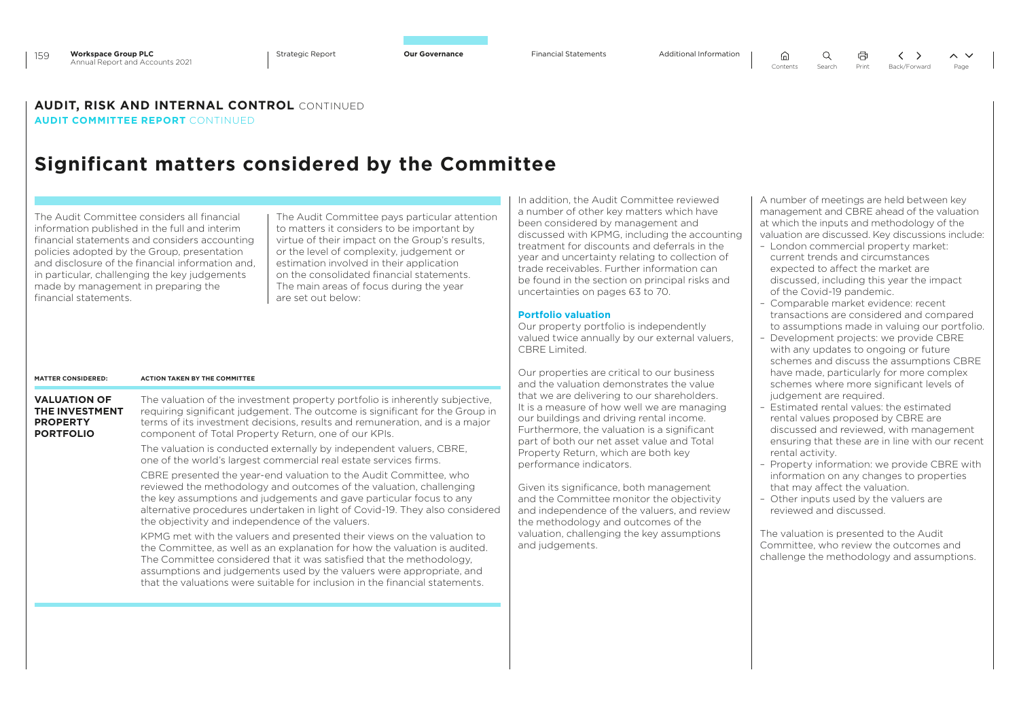⋒

 $\Omega$ 曲  $\langle \rangle$  $\sim$   $\vee$ Contents Search Print Back/Forward Page

### **AUDIT, RISK AND INTERNAL CONTROL** CONTINUED

**AUDIT COMMITTEE REPORT** CONTINUED

# **Significant matters considered by the Committee**

The Audit Committee considers all financial information published in the full and interim financial statements and considers accounting policies adopted by the Group, presentation and disclosure of the financial information and, in particular, challenging the key judgements made by management in preparing the financial statements.

The Audit Committee pays particular attention to matters it considers to be important by virtue of their impact on the Group's results, or the level of complexity, judgement or estimation involved in their application on the consolidated financial statements. The main areas of focus during the year are set out below:

In addition, the Audit Committee reviewed a number of other key matters which have been considered by management and discussed with KPMG, including the accounting treatment for discounts and deferrals in the year and uncertainty relating to collection of trade receivables. Further information can be found in the section on principal risks and uncertainties on pages 63 to 70.

#### **Portfolio valuation**

Our property portfolio is independently valued twice annually by our external valuers, CBRE Limited.

Our properties are critical to our business and the valuation demonstrates the value that we are delivering to our shareholders. It is a measure of how well we are managing our buildings and driving rental income. Furthermore, the valuation is a significant part of both our net asset value and Total Property Return, which are both key performance indicators.

Given its significance, both management and the Committee monitor the objectivity and independence of the valuers, and review the methodology and outcomes of the valuation, challenging the key assumptions and judgements.

A number of meetings are held between key management and CBRE ahead of the valuation at which the inputs and methodology of the valuation are discussed. Key discussions include:

- London commercial property market: current trends and circumstances expected to affect the market are discussed, including this year the impact of the Covid-19 pandemic.
- Comparable market evidence: recent transactions are considered and compared to assumptions made in valuing our portfolio.
- Development projects: we provide CBRE with any updates to ongoing or future schemes and discuss the assumptions CBRE have made, particularly for more complex schemes where more significant levels of judgement are required.
- Estimated rental values: the estimated rental values proposed by CBRE are discussed and reviewed, with management ensuring that these are in line with our recent rental activity.
- Property information: we provide CBRE with information on any changes to properties that may affect the valuation.
- Other inputs used by the valuers are reviewed and discussed.

The valuation is presented to the Audit Committee, who review the outcomes and challenge the methodology and assumptions.

| <b>MATTER CONSIDERED:</b>                                                    | <b>ACTION TAKEN BY THE COMMITTEE</b>                                                                                                                                                                                                                                                                                                                                                  |
|------------------------------------------------------------------------------|---------------------------------------------------------------------------------------------------------------------------------------------------------------------------------------------------------------------------------------------------------------------------------------------------------------------------------------------------------------------------------------|
| <b>VALUATION OF</b><br>THE INVESTMENT<br><b>PROPERTY</b><br><b>PORTFOLIO</b> | The valuation of the investment property portfolio is inherently subjective.<br>requiring significant judgement. The outcome is significant for the Group in<br>terms of its investment decisions, results and remuneration, and is a major<br>component of Total Property Return, one of our KPIs.                                                                                   |
|                                                                              | The valuation is conducted externally by independent valuers, CBRE,<br>one of the world's largest commercial real estate services firms.                                                                                                                                                                                                                                              |
|                                                                              | CBRE presented the year-end valuation to the Audit Committee, who<br>reviewed the methodology and outcomes of the valuation, challenging<br>the key assumptions and judgements and gave particular focus to any<br>alternative procedures undertaken in light of Covid-19. They also considered<br>the objectivity and independence of the valuers.                                   |
|                                                                              | KPMG met with the valuers and presented their views on the valuation to<br>the Committee, as well as an explanation for how the valuation is audited.<br>The Committee considered that it was satisfied that the methodology,<br>assumptions and judgements used by the valuers were appropriate, and<br>that the valuations were suitable for inclusion in the financial statements. |